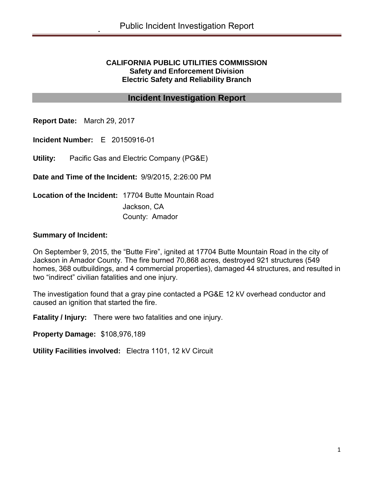#### **CALIFORNIA PUBLIC UTILITIES COMMISSION Safety and Enforcement Division Electric Safety and Reliability Branch**

## **Incident Investigation Report**

**Report Date:** March 29, 2017

**Incident Number:** E 20150916-01

**Utility:** Pacific Gas and Electric Company (PG&E)

**Date and Time of the Incident:** 9/9/2015, 2:26:00 PM

**Location of the Incident:** 17704 Butte Mountain Road Jackson, CA County: Amador

#### **Summary of Incident:**

On September 9, 2015, the "Butte Fire", ignited at 17704 Butte Mountain Road in the city of Jackson in Amador County. The fire burned 70,868 acres, destroyed 921 structures (549 homes, 368 outbuildings, and 4 commercial properties), damaged 44 structures, and resulted in two "indirect" civilian fatalities and one injury.

The investigation found that a gray pine contacted a PG&E 12 kV overhead conductor and caused an ignition that started the fire.

**Fatality / Injury:** There were two fatalities and one injury.

**Property Damage:** \$108,976,189

**Utility Facilities involved:** Electra 1101, 12 kV Circuit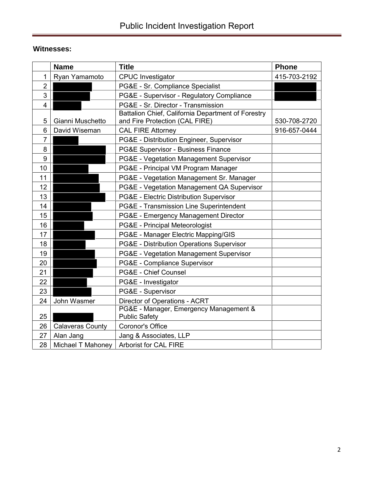# **Witnesses:**

| <b>Name</b>                   | <b>Title</b>                                                                         | <b>Phone</b> |
|-------------------------------|--------------------------------------------------------------------------------------|--------------|
| 1<br>Ryan Yamamoto            | <b>CPUC</b> Investigator                                                             | 415-703-2192 |
| $\overline{2}$                | PG&E - Sr. Compliance Specialist                                                     |              |
| 3                             | PG&E - Supervisor - Regulatory Compliance                                            |              |
| 4                             | PG&E - Sr. Director - Transmission                                                   |              |
| Gianni Muschetto<br>5         | Battalion Chief, California Department of Forestry<br>and Fire Protection (CAL FIRE) | 530-708-2720 |
| 6<br>David Wiseman            | <b>CAL FIRE Attorney</b>                                                             | 916-657-0444 |
| 7                             | PG&E - Distribution Engineer, Supervisor                                             |              |
| 8                             | PG&E Supervisor - Business Finance                                                   |              |
| 9                             | PG&E - Vegetation Management Supervisor                                              |              |
| 10                            | PG&E - Principal VM Program Manager                                                  |              |
| 11                            | PG&E - Vegetation Management Sr. Manager                                             |              |
| 12                            | PG&E - Vegetation Management QA Supervisor                                           |              |
| 13                            | PG&E - Electric Distribution Supervisor                                              |              |
| 14                            | PG&E - Transmission Line Superintendent                                              |              |
| 15                            | PG&E - Emergency Management Director                                                 |              |
| 16                            | PG&E - Principal Meteorologist                                                       |              |
| 17                            | PG&E - Manager Electric Mapping/GIS                                                  |              |
| 18                            | PG&E - Distribution Operations Supervisor                                            |              |
| 19                            | PG&E - Vegetation Management Supervisor                                              |              |
| 20                            | PG&E - Compliance Supervisor                                                         |              |
| 21                            | PG&E - Chief Counsel                                                                 |              |
| 22                            | PG&E - Investigator                                                                  |              |
| 23                            | PG&E - Supervisor                                                                    |              |
| 24<br>John Wasmer             | Director of Operations - ACRT                                                        |              |
| 25                            | PG&E - Manager, Emergency Management &<br><b>Public Safety</b>                       |              |
| 26<br><b>Calaveras County</b> | Coronor's Office                                                                     |              |
| 27<br>Alan Jang               | Jang & Associates, LLP                                                               |              |
| 28<br>Michael T Mahoney       | <b>Arborist for CAL FIRE</b>                                                         |              |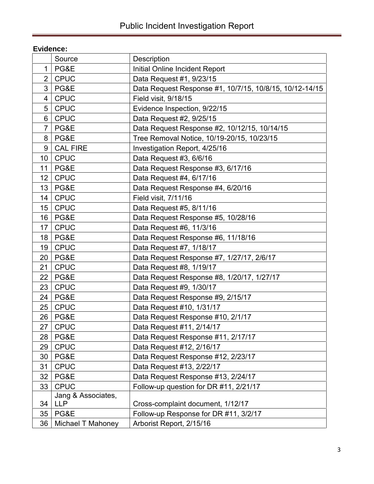# **Evidence:**

|                | Source             | <b>Description</b>                                      |
|----------------|--------------------|---------------------------------------------------------|
| 1              | PG&E               | Initial Online Incident Report                          |
| $\overline{2}$ | <b>CPUC</b>        | Data Request #1, 9/23/15                                |
| 3              | PG&E               | Data Request Response #1, 10/7/15, 10/8/15, 10/12-14/15 |
| 4              | <b>CPUC</b>        | Field visit, 9/18/15                                    |
| 5              | <b>CPUC</b>        | Evidence Inspection, 9/22/15                            |
| 6              | <b>CPUC</b>        | Data Request #2, 9/25/15                                |
| $\overline{7}$ | PG&E               | Data Request Response #2, 10/12/15, 10/14/15            |
| 8              | PG&E               | Tree Removal Notice, 10/19-20/15, 10/23/15              |
| 9              | <b>CAL FIRE</b>    | Investigation Report, 4/25/16                           |
| 10             | <b>CPUC</b>        | Data Request #3, 6/6/16                                 |
| 11             | PG&E               | Data Request Response #3, 6/17/16                       |
| 12             | <b>CPUC</b>        | Data Request #4, 6/17/16                                |
| 13             | PG&E               | Data Request Response #4, 6/20/16                       |
| 14             | <b>CPUC</b>        | Field visit, 7/11/16                                    |
| 15             | <b>CPUC</b>        | Data Request #5, 8/11/16                                |
| 16             | PG&E               | Data Request Response #5, 10/28/16                      |
| 17             | <b>CPUC</b>        | Data Request #6, 11/3/16                                |
| 18             | PG&E               | Data Request Response #6, 11/18/16                      |
| 19             | <b>CPUC</b>        | Data Request #7, 1/18/17                                |
| 20             | PG&E               | Data Request Response #7, 1/27/17, 2/6/17               |
| 21             | <b>CPUC</b>        | Data Request #8, 1/19/17                                |
| 22             | PG&E               | Data Request Response #8, 1/20/17, 1/27/17              |
| 23             | <b>CPUC</b>        | Data Request #9, 1/30/17                                |
| 24             | PG&E               | Data Request Response #9, 2/15/17                       |
| 25             | <b>CPUC</b>        | Data Request #10, 1/31/17                               |
| 26             | PG&E               | Data Request Response #10, 2/1/17                       |
| 27             | <b>CPUC</b>        | Data Request #11, 2/14/17                               |
| 28             | PG&E               | Data Request Response #11, 2/17/17                      |
| 29             | <b>CPUC</b>        | Data Request #12, 2/16/17                               |
| 30             | PG&E               | Data Request Response #12, 2/23/17                      |
| 31             | <b>CPUC</b>        | Data Request #13, 2/22/17                               |
| 32             | PG&E               | Data Request Response #13, 2/24/17                      |
| 33             | <b>CPUC</b>        | Follow-up question for DR #11, 2/21/17                  |
|                | Jang & Associates, |                                                         |
| 34             | <b>LLP</b>         | Cross-complaint document, 1/12/17                       |
| 35             | PG&E               | Follow-up Response for DR #11, 3/2/17                   |
| 36             | Michael T Mahoney  | Arborist Report, 2/15/16                                |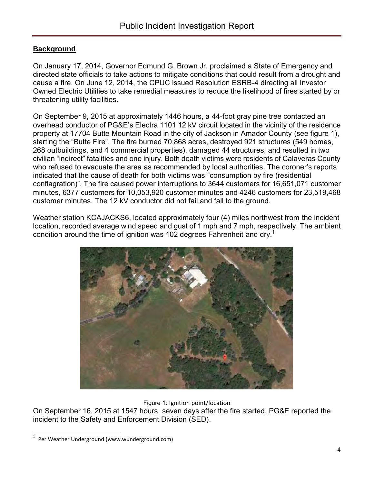## **Background**

On January 17, 2014, Governor Edmund G. Brown Jr. proclaimed a State of Emergency and directed state officials to take actions to mitigate conditions that could result from a drought and cause a fire. On June 12, 2014, the CPUC issued Resolution ESRB-4 directing all Investor Owned Electric Utilities to take remedial measures to reduce the likelihood of fires started by or threatening utility facilities.

On September 9, 2015 at approximately 1446 hours, a 44-foot gray pine tree contacted an overhead conductor of PG&E's Electra 1101 12 kV circuit located in the vicinity of the residence property at 17704 Butte Mountain Road in the city of Jackson in Amador County (see figure 1), starting the "Butte Fire". The fire burned 70,868 acres, destroyed 921 structures (549 homes, 268 outbuildings, and 4 commercial properties), damaged 44 structures, and resulted in two civilian "indirect" fatalities and one injury. Both death victims were residents of Calaveras County who refused to evacuate the area as recommended by local authorities. The coroner's reports indicated that the cause of death for both victims was "consumption by fire (residential conflagration)". The fire caused power interruptions to 3644 customers for 16,651,071 customer minutes, 6377 customers for 10,053,920 customer minutes and 4246 customers for 23,519,468 customer minutes. The 12 kV conductor did not fail and fall to the ground.

Weather station KCAJACKS6, located approximately four (4) miles northwest from the incident location, recorded average wind speed and gust of 1 mph and 7 mph, respectively. The ambient condition around the time of ignition was 102 degrees Fahrenheit and dry.<sup>1</sup>



Figure 1: Ignition point/location

On September 16, 2015 at 1547 hours, seven days after the fire started, PG&E reported the incident to the Safety and Enforcement Division (SED).

<sup>1</sup> Per Weather Underground (www.wunderground.com)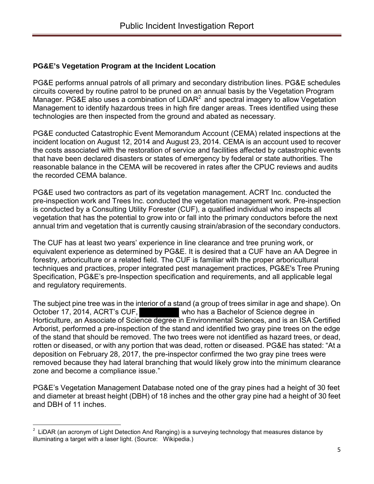#### **PG&E's Vegetation Program at the Incident Location**

PG&E performs annual patrols of all primary and secondary distribution lines. PG&E schedules circuits covered by routine patrol to be pruned on an annual basis by the Vegetation Program Manager. PG&E also uses a combination of LiDAR $^2$  and spectral imagery to allow Vegetation Management to identify hazardous trees in high fire danger areas. Trees identified using these technologies are then inspected from the ground and abated as necessary.

PG&E conducted Catastrophic Event Memorandum Account (CEMA) related inspections at the incident location on August 12, 2014 and August 23, 2014. CEMA is an account used to recover the costs associated with the restoration of service and facilities affected by catastrophic events that have been declared disasters or states of emergency by federal or state authorities. The reasonable balance in the CEMA will be recovered in rates after the CPUC reviews and audits the recorded CEMA balance.

PG&E used two contractors as part of its vegetation management. ACRT Inc. conducted the pre-inspection work and Trees Inc. conducted the vegetation management work. Pre-inspection is conducted by a Consulting Utility Forester (CUF), a qualified individual who inspects all vegetation that has the potential to grow into or fall into the primary conductors before the next annual trim and vegetation that is currently causing strain/abrasion of the secondary conductors.

The CUF has at least two years' experience in line clearance and tree pruning work, or equivalent experience as determined by PG&E. It is desired that a CUF have an AA Degree in forestry, arboriculture or a related field. The CUF is familiar with the proper arboricultural techniques and practices, proper integrated pest management practices, PG&E's Tree Pruning Specification, PG&E's pre-Inspection specification and requirements, and all applicable legal and regulatory requirements.

The subject pine tree was in the interior of a stand (a group of trees similar in age and shape). On October 17, 2014, ACRT's CUF, who has a Bachelor of Science degree in Horticulture, an Associate of Science degree in Environmental Sciences, and is an ISA Certified Arborist, performed a pre-inspection of the stand and identified two gray pine trees on the edge of the stand that should be removed. The two trees were not identified as hazard trees, or dead, rotten or diseased, or with any portion that was dead, rotten or diseased. PG&E has stated: "At a deposition on February 28, 2017, the pre-inspector confirmed the two gray pine trees were removed because they had lateral branching that would likely grow into the minimum clearance zone and become a compliance issue."

PG&E's Vegetation Management Database noted one of the gray pines had a height of 30 feet and diameter at breast height (DBH) of 18 inches and the other gray pine had a height of 30 feet and DBH of 11 inches.

<sup>2</sup> LiDAR (an acronym of Light Detection And Ranging) is a surveying technology that measures distance by illuminating a target with a laser light. (Source: Wikipedia.)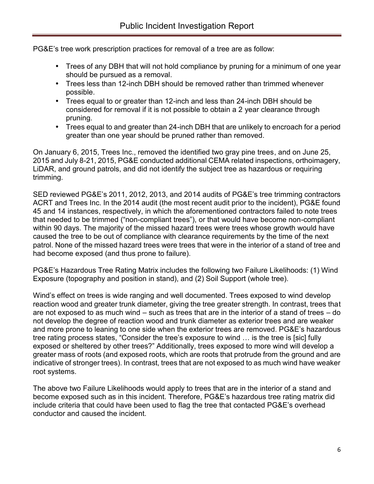PG&E's tree work prescription practices for removal of a tree are as follow:

- Trees of any DBH that will not hold compliance by pruning for a minimum of one year should be pursued as a removal.
- Trees less than 12-inch DBH should be removed rather than trimmed whenever possible.
- Trees equal to or greater than 12-inch and less than 24-inch DBH should be considered for removal if it is not possible to obtain a 2 year clearance through pruning.
- Trees equal to and greater than 24-inch DBH that are unlikely to encroach for a period greater than one year should be pruned rather than removed.

On January 6, 2015, Trees Inc., removed the identified two gray pine trees, and on June 25, 2015 and July 8-21, 2015, PG&E conducted additional CEMA related inspections, orthoimagery, LiDAR, and ground patrols, and did not identify the subject tree as hazardous or requiring trimming.

SED reviewed PG&E's 2011, 2012, 2013, and 2014 audits of PG&E's tree trimming contractors ACRT and Trees Inc. In the 2014 audit (the most recent audit prior to the incident), PG&E found 45 and 14 instances, respectively, in which the aforementioned contractors failed to note trees that needed to be trimmed ("non-compliant trees"), or that would have become non-compliant within 90 days. The majority of the missed hazard trees were trees whose growth would have caused the tree to be out of compliance with clearance requirements by the time of the next patrol. None of the missed hazard trees were trees that were in the interior of a stand of tree and had become exposed (and thus prone to failure).

PG&E's Hazardous Tree Rating Matrix includes the following two Failure Likelihoods: (1) Wind Exposure (topography and position in stand), and (2) Soil Support (whole tree).

Wind's effect on trees is wide ranging and well documented. Trees exposed to wind develop reaction wood and greater trunk diameter, giving the tree greater strength. In contrast, trees that are not exposed to as much wind – such as trees that are in the interior of a stand of trees – do not develop the degree of reaction wood and trunk diameter as exterior trees and are weaker and more prone to leaning to one side when the exterior trees are removed. PG&E's hazardous tree rating process states, "Consider the tree's exposure to wind … is the tree is [sic] fully exposed or sheltered by other trees?" Additionally, trees exposed to more wind will develop a greater mass of roots (and exposed roots, which are roots that protrude from the ground and are indicative of stronger trees). In contrast, trees that are not exposed to as much wind have weaker root systems.

The above two Failure Likelihoods would apply to trees that are in the interior of a stand and become exposed such as in this incident. Therefore, PG&E's hazardous tree rating matrix did include criteria that could have been used to flag the tree that contacted PG&E's overhead conductor and caused the incident.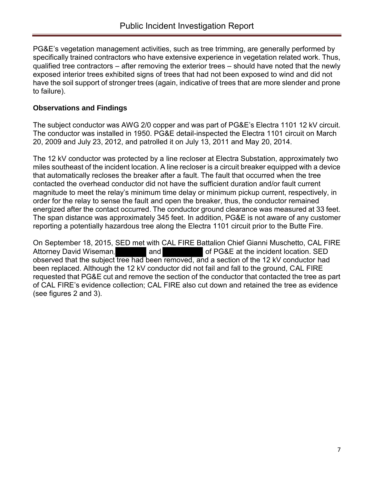PG&E's vegetation management activities, such as tree trimming, are generally performed by specifically trained contractors who have extensive experience in vegetation related work. Thus, qualified tree contractors – after removing the exterior trees – should have noted that the newly exposed interior trees exhibited signs of trees that had not been exposed to wind and did not have the soil support of stronger trees (again, indicative of trees that are more slender and prone to failure).

### **Observations and Findings**

The subject conductor was AWG 2/0 copper and was part of PG&E's Electra 1101 12 kV circuit. The conductor was installed in 1950. PG&E detail-inspected the Electra 1101 circuit on March 20, 2009 and July 23, 2012, and patrolled it on July 13, 2011 and May 20, 2014.

The 12 kV conductor was protected by a line recloser at Electra Substation, approximately two miles southeast of the incident location. A line recloser is a circuit breaker equipped with a device that automatically recloses the breaker after a fault. The fault that occurred when the tree contacted the overhead conductor did not have the sufficient duration and/or fault current magnitude to meet the relay's minimum time delay or minimum pickup current, respectively, in order for the relay to sense the fault and open the breaker, thus, the conductor remained energized after the contact occurred. The conductor ground clearance was measured at 33 feet. The span distance was approximately 345 feet. In addition, PG&E is not aware of any customer reporting a potentially hazardous tree along the Electra 1101 circuit prior to the Butte Fire.

On September 18, 2015, SED met with CAL FIRE Battalion Chief Gianni Muschetto, CAL FIRE Attorney David Wiseman, and of PG&E at the incident location. SED observed that the subject tree had been removed, and a section of the 12 kV conductor had been replaced. Although the 12 kV conductor did not fail and fall to the ground, CAL FIRE requested that PG&E cut and remove the section of the conductor that contacted the tree as part of CAL FIRE's evidence collection; CAL FIRE also cut down and retained the tree as evidence (see figures 2 and 3).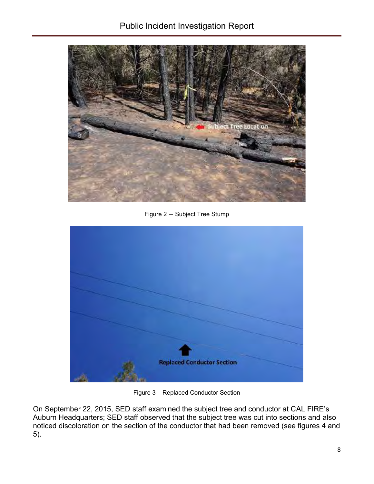

Figure 2 – Subject Tree Stump



Figure 3 – Replaced Conductor Section

On September 22, 2015, SED staff examined the subject tree and conductor at CAL FIRE's Auburn Headquarters; SED staff observed that the subject tree was cut into sections and also noticed discoloration on the section of the conductor that had been removed (see figures 4 and 5).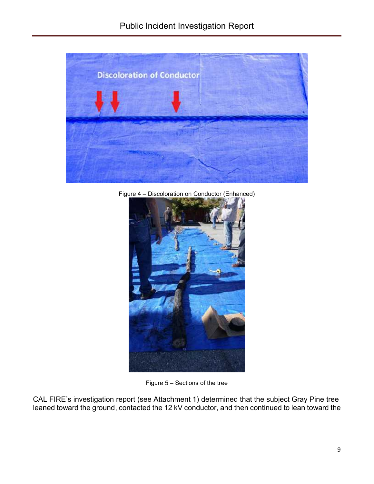

Figure 4 – Discoloration on Conductor (Enhanced)



Figure 5 – Sections of the tree

CAL FIRE's investigation report (see Attachment 1) determined that the subject Gray Pine tree leaned toward the ground, contacted the 12 kV conductor, and then continued to lean toward the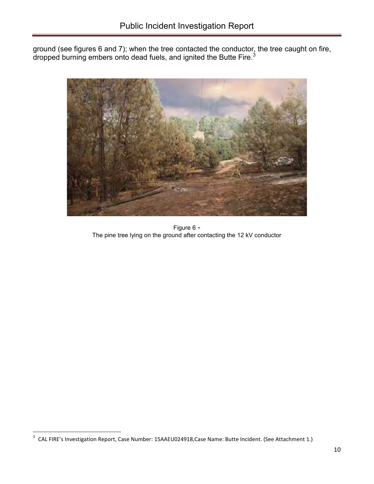ground (see figures 6 and 7); when the tree contacted the conductor, the tree caught on fire, dropped burning embers onto dead fuels, and ignited the Butte Fire. $^3$ 



Figure 6 - The pine tree lying on the ground after contacting the 12 kV conductor

<sup>&</sup>lt;sup>3</sup> CAL FIRE's Investigation Report, Case Number: 15AAEU024918, Case Name: Butte Incident. (See Attachment 1.)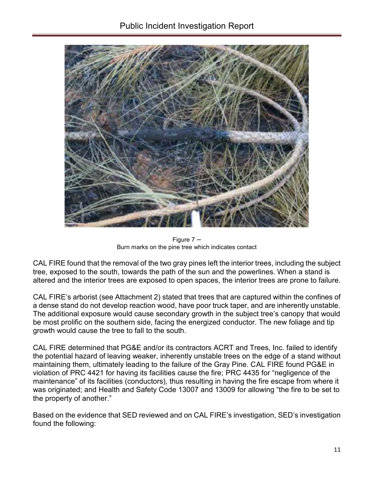

Figure 7 – Burn marks on the pine tree which indicates contact

CAL FIRE found that the removal of the two gray pines left the interior trees, including the subject tree, exposed to the south, towards the path of the sun and the powerlines. When a stand is altered and the interior trees are exposed to open spaces, the interior trees are prone to failure.

CAL FIRE's arborist (see Attachment 2) stated that trees that are captured within the confines of a dense stand do not develop reaction wood, have poor truck taper, and are inherently unstable. The additional exposure would cause secondary growth in the subject tree's canopy that would be most prolific on the southern side, facing the energized conductor. The new foliage and tip growth would cause the tree to fall to the south.

CAL FIRE determined that PG&E and/or its contractors ACRT and Trees, Inc. failed to identify the potential hazard of leaving weaker, inherently unstable trees on the edge of a stand without maintaining them, ultimately leading to the failure of the Gray Pine. CAL FIRE found PG&E in violation of PRC 4421 for having its facilities cause the fire; PRC 4435 for "negligence of the maintenance" of its facilities (conductors), thus resulting in having the fire escape from where it was originated; and Health and Safety Code 13007 and 13009 for allowing "the fire to be set to the property of another."

Based on the evidence that SED reviewed and on CAL FIRE's investigation, SED's investigation found the following: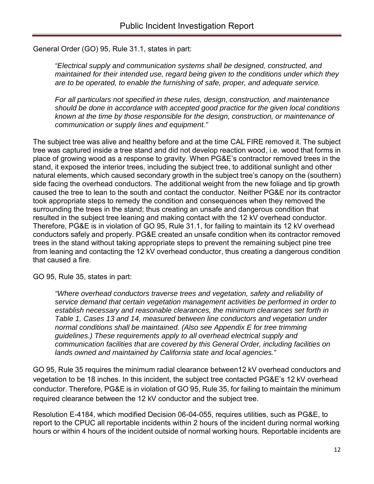General Order (GO) 95, Rule 31.1, states in part:

*"Electrical supply and communication systems shall be designed, constructed, and maintained for their intended use, regard being given to the conditions under which they are to be operated, to enable the furnishing of safe, proper, and adequate service.*

*For all particulars not specified in these rules, design, construction, and maintenance should be done in accordance with accepted good practice for the given local conditions known at the time by those responsible for the design, construction, or maintenance of communication or supply lines and equipment."*

The subject tree was alive and healthy before and at the time CAL FIRE removed it. The subject tree was captured inside a tree stand and did not develop reaction wood, i.e. wood that forms in place of growing wood as a response to gravity. When PG&E's contractor removed trees in the stand, it exposed the interior trees, including the subject tree, to additional sunlight and other natural elements, which caused secondary growth in the subject tree's canopy on the (southern) side facing the overhead conductors. The additional weight from the new foliage and tip growth caused the tree to lean to the south and contact the conductor. Neither PG&E nor its contractor took appropriate steps to remedy the condition and consequences when they removed the surrounding the trees in the stand; thus creating an unsafe and dangerous condition that resulted in the subject tree leaning and making contact with the 12 kV overhead conductor. Therefore, PG&E is in violation of GO 95, Rule 31.1, for failing to maintain its 12 kV overhead conductors safely and properly. PG&E created an unsafe condition when its contractor removed trees in the stand without taking appropriate steps to prevent the remaining subject pine tree from leaning and contacting the 12 kV overhead conductor, thus creating a dangerous condition that caused a fire.

GO 95, Rule 35, states in part:

*"Where overhead conductors traverse trees and vegetation, safety and reliability of service demand that certain vegetation management activities be performed in order to establish necessary and reasonable clearances, the minimum clearances set forth in Table 1, Cases 13 and 14, measured between line conductors and vegetation under normal conditions shall be maintained. (Also see Appendix E for tree trimming guidelines.) These requirements apply to all overhead electrical supply and communication facilities that are covered by this General Order, including facilities on lands owned and maintained by California state and local agencies."*

GO 95, Rule 35 requires the minimum radial clearance between12 kV overhead conductors and vegetation to be 18 inches. In this incident, the subject tree contacted PG&E's 12 kV overhead conductor. Therefore, PG&E is in violation of GO 95, Rule 35, for failing to maintain the minimum required clearance between the 12 kV conductor and the subject tree.

Resolution E-4184, which modified Decision 06-04-055, requires utilities, such as PG&E, to report to the CPUC all reportable incidents within 2 hours of the incident during normal working hours or within 4 hours of the incident outside of normal working hours. Reportable incidents are